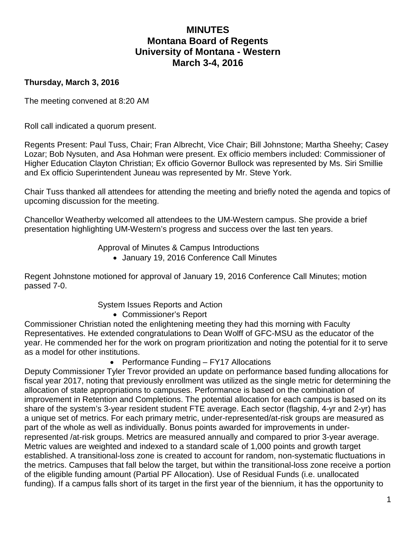# **MINUTES Montana Board of Regents University of Montana - Western March 3-4, 2016**

## **Thursday, March 3, 2016**

The meeting convened at 8:20 AM

Roll call indicated a quorum present.

Regents Present: Paul Tuss, Chair; Fran Albrecht, Vice Chair; Bill Johnstone; Martha Sheehy; Casey Lozar; Bob Nysuten, and Asa Hohman were present. Ex officio members included: Commissioner of Higher Education Clayton Christian; Ex officio Governor Bullock was represented by Ms. Siri Smillie and Ex officio Superintendent Juneau was represented by Mr. Steve York.

Chair Tuss thanked all attendees for attending the meeting and briefly noted the agenda and topics of upcoming discussion for the meeting.

Chancellor Weatherby welcomed all attendees to the UM-Western campus. She provide a brief presentation highlighting UM-Western's progress and success over the last ten years.

Approval of Minutes & Campus Introductions

• January 19, 2016 Conference Call Minutes

Regent Johnstone motioned for approval of January 19, 2016 Conference Call Minutes; motion passed 7-0.

System Issues Reports and Action

• Commissioner's Report

Commissioner Christian noted the enlightening meeting they had this morning with Faculty Representatives. He extended congratulations to Dean Wolff of GFC-MSU as the educator of the year. He commended her for the work on program prioritization and noting the potential for it to serve as a model for other institutions.

• Performance Funding – FY17 Allocations

Deputy Commissioner Tyler Trevor provided an update on performance based funding allocations for fiscal year 2017, noting that previously enrollment was utilized as the single metric for determining the allocation of state appropriations to campuses. Performance is based on the combination of improvement in Retention and Completions. The potential allocation for each campus is based on its share of the system's 3-year resident student FTE average. Each sector (flagship, 4-yr and 2-yr) has a unique set of metrics. For each primary metric, under-represented/at-risk groups are measured as part of the whole as well as individually. Bonus points awarded for improvements in underrepresented /at-risk groups. Metrics are measured annually and compared to prior 3-year average. Metric values are weighted and indexed to a standard scale of 1,000 points and growth target established. A transitional-loss zone is created to account for random, non-systematic fluctuations in the metrics. Campuses that fall below the target, but within the transitional-loss zone receive a portion of the eligible funding amount (Partial PF Allocation). Use of Residual Funds (i.e. unallocated funding). If a campus falls short of its target in the first year of the biennium, it has the opportunity to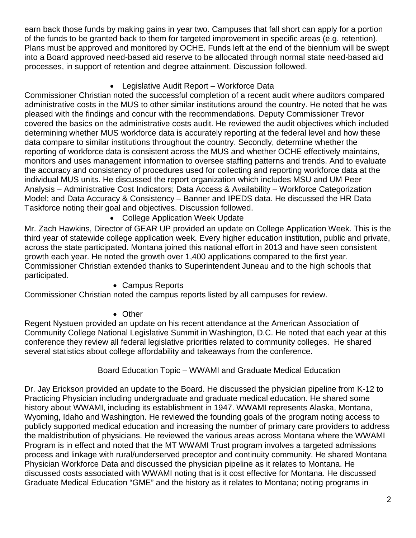earn back those funds by making gains in year two. Campuses that fall short can apply for a portion of the funds to be granted back to them for targeted improvement in specific areas (e.g. retention). Plans must be approved and monitored by OCHE. Funds left at the end of the biennium will be swept into a Board approved need-based aid reserve to be allocated through normal state need-based aid processes, in support of retention and degree attainment. Discussion followed.

## • Legislative Audit Report – Workforce Data

Commissioner Christian noted the successful completion of a recent audit where auditors compared administrative costs in the MUS to other similar institutions around the country. He noted that he was pleased with the findings and concur with the recommendations. Deputy Commissioner Trevor covered the basics on the administrative costs audit. He reviewed the audit objectives which included determining whether MUS workforce data is accurately reporting at the federal level and how these data compare to similar institutions throughout the country. Secondly, determine whether the reporting of workforce data is consistent across the MUS and whether OCHE effectively maintains, monitors and uses management information to oversee staffing patterns and trends. And to evaluate the accuracy and consistency of procedures used for collecting and reporting workforce data at the individual MUS units. He discussed the report organization which includes MSU and UM Peer Analysis – Administrative Cost Indicators; Data Access & Availability – Workforce Categorization Model; and Data Accuracy & Consistency – Banner and IPEDS data. He discussed the HR Data Taskforce noting their goal and objectives. Discussion followed.

• College Application Week Update

Mr. Zach Hawkins, Director of GEAR UP provided an update on College Application Week. This is the third year of statewide college application week. Every higher education institution, public and private, across the state participated. Montana joined this national effort in 2013 and have seen consistent growth each year. He noted the growth over 1,400 applications compared to the first year. Commissioner Christian extended thanks to Superintendent Juneau and to the high schools that participated.

## • Campus Reports

Commissioner Christian noted the campus reports listed by all campuses for review.

# • Other

Regent Nystuen provided an update on his recent attendance at the American Association of Community College National Legislative Summit in Washington, D.C. He noted that each year at this conference they review all federal legislative priorities related to community colleges. He shared several statistics about college affordability and takeaways from the conference.

## Board Education Topic – WWAMI and Graduate Medical Education

Dr. Jay Erickson provided an update to the Board. He discussed the physician pipeline from K-12 to Practicing Physician including undergraduate and graduate medical education. He shared some history about WWAMI, including its establishment in 1947. WWAMI represents Alaska, Montana, Wyoming, Idaho and Washington. He reviewed the founding goals of the program noting access to publicly supported medical education and increasing the number of primary care providers to address the maldistribution of physicians. He reviewed the various areas across Montana where the WWAMI Program is in effect and noted that the MT WWAMI Trust program involves a targeted admissions process and linkage with rural/underserved preceptor and continuity community. He shared Montana Physician Workforce Data and discussed the physician pipeline as it relates to Montana. He discussed costs associated with WWAMI noting that is it cost effective for Montana. He discussed Graduate Medical Education "GME" and the history as it relates to Montana; noting programs in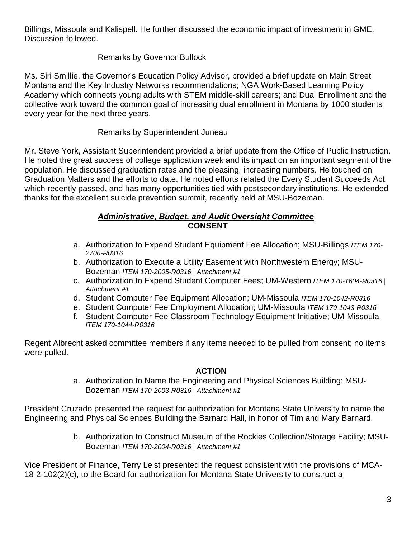Billings, Missoula and Kalispell. He further discussed the economic impact of investment in GME. Discussion followed.

# Remarks by Governor Bullock

Ms. Siri Smillie, the Governor's Education Policy Advisor, provided a brief update on Main Street Montana and the Key Industry Networks recommendations; NGA Work-Based Learning Policy Academy which connects young adults with STEM middle-skill careers; and Dual Enrollment and the collective work toward the common goal of increasing dual enrollment in Montana by 1000 students every year for the next three years.

## Remarks by Superintendent Juneau

Mr. Steve York, Assistant Superintendent provided a brief update from the Office of Public Instruction. He noted the great success of college application week and its impact on an important segment of the population. He discussed graduation rates and the pleasing, increasing numbers. He touched on Graduation Matters and the efforts to date. He noted efforts related the Every Student Succeeds Act, which recently passed, and has many opportunities tied with postsecondary institutions. He extended thanks for the excellent suicide prevention summit, recently held at MSU-Bozeman.

#### *Administrative, Budget, and Audit Oversight Committee* **CONSENT**

- a. Authorization to Expend Student Equipment Fee Allocation; MSU-Billings *ITEM 170- 2706-R0316*
- b. Authorization to Execute a Utility Easement with Northwestern Energy; MSU-Bozeman *ITEM 170-2005-R0316 | Attachment #1*
- c. Authorization to Expend Student Computer Fees; UM-Western *ITEM 170-1604-R0316 | Attachment #1*
- d. Student Computer Fee Equipment Allocation; UM-Missoula *ITEM 170-1042-R0316*
- e. Student Computer Fee Employment Allocation; UM-Missoula *ITEM 170-1043-R0316*
- f. Student Computer Fee Classroom Technology Equipment Initiative; UM-Missoula *ITEM 170-1044-R0316*

Regent Albrecht asked committee members if any items needed to be pulled from consent; no items were pulled.

## **ACTION**

a. Authorization to Name the Engineering and Physical Sciences Building; MSU-Bozeman *ITEM 170-2003-R0316 | Attachment #1*

President Cruzado presented the request for authorization for Montana State University to name the Engineering and Physical Sciences Building the Barnard Hall, in honor of Tim and Mary Barnard.

> b. Authorization to Construct Museum of the Rockies Collection/Storage Facility; MSU-Bozeman *ITEM 170-2004-R0316 | Attachment #1*

Vice President of Finance, Terry Leist presented the request consistent with the provisions of MCA-18-2-102(2)(c), to the Board for authorization for Montana State University to construct a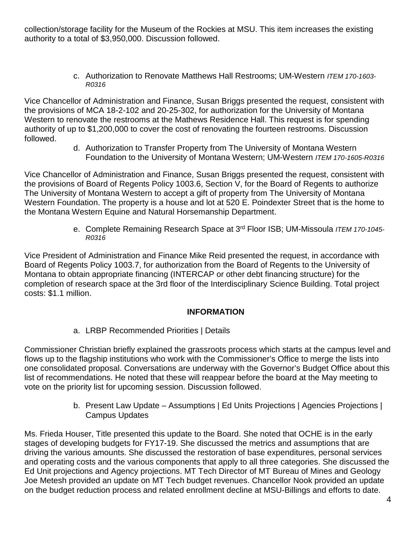collection/storage facility for the Museum of the Rockies at MSU. This item increases the existing authority to a total of \$3,950,000. Discussion followed.

> c. Authorization to Renovate Matthews Hall Restrooms; UM-Western *ITEM 170-1603- R0316*

Vice Chancellor of Administration and Finance, Susan Briggs presented the request, consistent with the provisions of MCA 18-2-102 and 20-25-302, for authorization for the University of Montana Western to renovate the restrooms at the Mathews Residence Hall. This request is for spending authority of up to \$1,200,000 to cover the cost of renovating the fourteen restrooms. Discussion followed.

d. Authorization to Transfer Property from The University of Montana Western Foundation to the University of Montana Western; UM-Western *ITEM 170-1605-R0316*

Vice Chancellor of Administration and Finance, Susan Briggs presented the request, consistent with the provisions of Board of Regents Policy 1003.6, Section V, for the Board of Regents to authorize The University of Montana Western to accept a gift of property from The University of Montana Western Foundation. The property is a house and lot at 520 E. Poindexter Street that is the home to the Montana Western Equine and Natural Horsemanship Department.

> e. Complete Remaining Research Space at 3rd Floor ISB; UM-Missoula *ITEM 170-1045- R0316*

Vice President of Administration and Finance Mike Reid presented the request, in accordance with Board of Regents Policy 1003.7, for authorization from the Board of Regents to the University of Montana to obtain appropriate financing (INTERCAP or other debt financing structure) for the completion of research space at the 3rd floor of the Interdisciplinary Science Building. Total project costs: \$1.1 million.

# **INFORMATION**

a. LRBP Recommended Priorities | Details

Commissioner Christian briefly explained the grassroots process which starts at the campus level and flows up to the flagship institutions who work with the Commissioner's Office to merge the lists into one consolidated proposal. Conversations are underway with the Governor's Budget Office about this list of recommendations. He noted that these will reappear before the board at the May meeting to vote on the priority list for upcoming session. Discussion followed.

> b. Present Law Update – Assumptions | Ed Units Projections | Agencies Projections | Campus Updates

Ms. Frieda Houser, Title presented this update to the Board. She noted that OCHE is in the early stages of developing budgets for FY17-19. She discussed the metrics and assumptions that are driving the various amounts. She discussed the restoration of base expenditures, personal services and operating costs and the various components that apply to all three categories. She discussed the Ed Unit projections and Agency projections. MT Tech Director of MT Bureau of Mines and Geology Joe Metesh provided an update on MT Tech budget revenues. Chancellor Nook provided an update on the budget reduction process and related enrollment decline at MSU-Billings and efforts to date.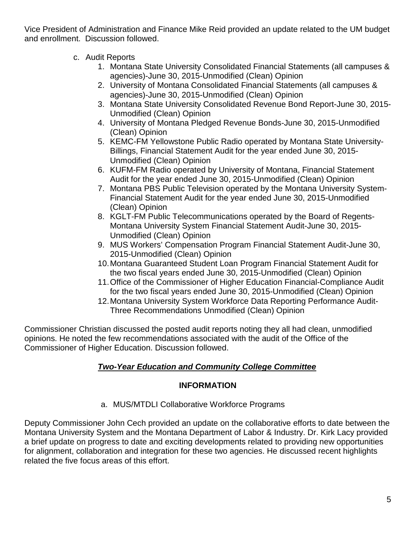Vice President of Administration and Finance Mike Reid provided an update related to the UM budget and enrollment. Discussion followed.

- c. Audit Reports
	- 1. Montana State University Consolidated Financial Statements (all campuses & agencies)-June 30, 2015-Unmodified (Clean) Opinion
	- 2. University of Montana Consolidated Financial Statements (all campuses & agencies)-June 30, 2015-Unmodified (Clean) Opinion
	- 3. Montana State University Consolidated Revenue Bond Report-June 30, 2015- Unmodified (Clean) Opinion
	- 4. University of Montana Pledged Revenue Bonds-June 30, 2015-Unmodified (Clean) Opinion
	- 5. KEMC-FM Yellowstone Public Radio operated by Montana State University-Billings, Financial Statement Audit for the year ended June 30, 2015- Unmodified (Clean) Opinion
	- 6. KUFM-FM Radio operated by University of Montana, Financial Statement Audit for the year ended June 30, 2015-Unmodified (Clean) Opinion
	- 7. Montana PBS Public Television operated by the Montana University System-Financial Statement Audit for the year ended June 30, 2015-Unmodified (Clean) Opinion
	- 8. KGLT-FM Public Telecommunications operated by the Board of Regents-Montana University System Financial Statement Audit-June 30, 2015- Unmodified (Clean) Opinion
	- 9. MUS Workers' Compensation Program Financial Statement Audit-June 30, 2015-Unmodified (Clean) Opinion
	- 10.Montana Guaranteed Student Loan Program Financial Statement Audit for the two fiscal years ended June 30, 2015-Unmodified (Clean) Opinion
	- 11.Office of the Commissioner of Higher Education Financial-Compliance Audit for the two fiscal years ended June 30, 2015-Unmodified (Clean) Opinion
	- 12.Montana University System Workforce Data Reporting Performance Audit-Three Recommendations Unmodified (Clean) Opinion

Commissioner Christian discussed the posted audit reports noting they all had clean, unmodified opinions. He noted the few recommendations associated with the audit of the Office of the Commissioner of Higher Education. Discussion followed.

# *Two-Year Education and Community College Committee*

# **INFORMATION**

a. MUS/MTDLI Collaborative Workforce Programs

Deputy Commissioner John Cech provided an update on the collaborative efforts to date between the Montana University System and the Montana Department of Labor & Industry. Dr. Kirk Lacy provided a brief update on progress to date and exciting developments related to providing new opportunities for alignment, collaboration and integration for these two agencies. He discussed recent highlights related the five focus areas of this effort.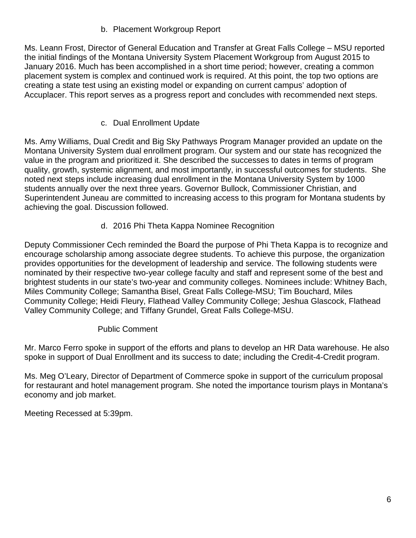# b. Placement Workgroup Report

Ms. Leann Frost, Director of General Education and Transfer at Great Falls College – MSU reported the initial findings of the Montana University System Placement Workgroup from August 2015 to January 2016. Much has been accomplished in a short time period; however, creating a common placement system is complex and continued work is required. At this point, the top two options are creating a state test using an existing model or expanding on current campus' adoption of Accuplacer. This report serves as a progress report and concludes with recommended next steps.

## c. Dual Enrollment Update

Ms. Amy Williams, Dual Credit and Big Sky Pathways Program Manager provided an update on the Montana University System dual enrollment program. Our system and our state has recognized the value in the program and prioritized it. She described the successes to dates in terms of program quality, growth, systemic alignment, and most importantly, in successful outcomes for students. She noted next steps include increasing dual enrollment in the Montana University System by 1000 students annually over the next three years. Governor Bullock, Commissioner Christian, and Superintendent Juneau are committed to increasing access to this program for Montana students by achieving the goal. Discussion followed.

## d. 2016 Phi Theta Kappa Nominee Recognition

Deputy Commissioner Cech reminded the Board the purpose of Phi Theta Kappa is to recognize and encourage scholarship among associate degree students. To achieve this purpose, the organization provides opportunities for the development of leadership and service. The following students were nominated by their respective two-year college faculty and staff and represent some of the best and brightest students in our state's two-year and community colleges. Nominees include: Whitney Bach, Miles Community College; Samantha Bisel, Great Falls College-MSU; Tim Bouchard, Miles Community College; Heidi Fleury, Flathead Valley Community College; Jeshua Glascock, Flathead Valley Community College; and Tiffany Grundel, Great Falls College-MSU.

## Public Comment

Mr. Marco Ferro spoke in support of the efforts and plans to develop an HR Data warehouse. He also spoke in support of Dual Enrollment and its success to date; including the Credit-4-Credit program.

Ms. Meg O'Leary, Director of Department of Commerce spoke in support of the curriculum proposal for restaurant and hotel management program. She noted the importance tourism plays in Montana's economy and job market.

Meeting Recessed at 5:39pm.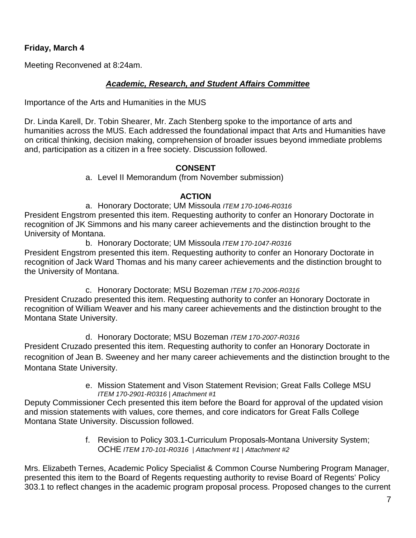## **Friday, March 4**

Meeting Reconvened at 8:24am.

## *Academic, Research, and Student Affairs Committee*

Importance of the Arts and Humanities in the MUS

Dr. Linda Karell, Dr. Tobin Shearer, Mr. Zach Stenberg spoke to the importance of arts and humanities across the MUS. Each addressed the foundational impact that Arts and Humanities have on critical thinking, decision making, comprehension of broader issues beyond immediate problems and, participation as a citizen in a free society. Discussion followed.

#### **CONSENT**

a. Level II Memorandum (from November submission)

## **ACTION**

a. Honorary Doctorate; UM Missoula *ITEM 170-1046-R0316*

President Engstrom presented this item. Requesting authority to confer an Honorary Doctorate in recognition of JK Simmons and his many career achievements and the distinction brought to the University of Montana.

b. Honorary Doctorate; UM Missoula *ITEM 170-1047-R0316* President Engstrom presented this item. Requesting authority to confer an Honorary Doctorate in recognition of Jack Ward Thomas and his many career achievements and the distinction brought to the University of Montana.

c. Honorary Doctorate; MSU Bozeman *ITEM 170-2006-R0316*

President Cruzado presented this item. Requesting authority to confer an Honorary Doctorate in recognition of William Weaver and his many career achievements and the distinction brought to the Montana State University.

## d. Honorary Doctorate; MSU Bozeman *ITEM 170-2007-R0316*

President Cruzado presented this item. Requesting authority to confer an Honorary Doctorate in recognition of Jean B. Sweeney and her many career achievements and the distinction brought to the Montana State University.

> e. Mission Statement and Vison Statement Revision; Great Falls College MSU *ITEM 170-2901-R0316 | Attachment #1*

Deputy Commissioner Cech presented this item before the Board for approval of the updated vision and mission statements with values, core themes, and core indicators for Great Falls College Montana State University. Discussion followed.

> f. Revision to Policy 303.1-Curriculum Proposals-Montana University System; OCHE *ITEM 170-101-R0316 | Attachment #1 | Attachment #2*

Mrs. Elizabeth Ternes, Academic Policy Specialist & Common Course Numbering Program Manager, presented this item to the Board of Regents requesting authority to revise Board of Regents' Policy 303.1 to reflect changes in the academic program proposal process. Proposed changes to the current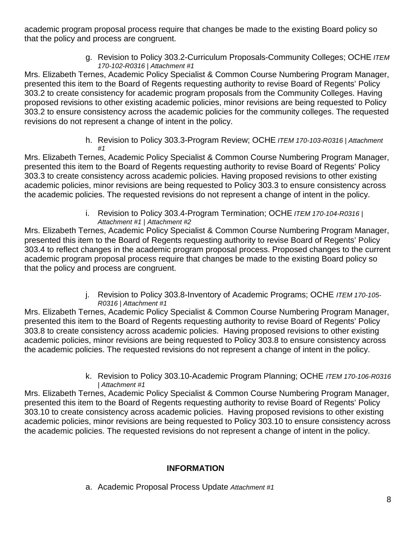academic program proposal process require that changes be made to the existing Board policy so that the policy and process are congruent.

> g. Revision to Policy 303.2-Curriculum Proposals-Community Colleges; OCHE *ITEM 170-102-R0316 | Attachment #1*

Mrs. Elizabeth Ternes, Academic Policy Specialist & Common Course Numbering Program Manager, presented this item to the Board of Regents requesting authority to revise Board of Regents' Policy 303.2 to create consistency for academic program proposals from the Community Colleges. Having proposed revisions to other existing academic policies, minor revisions are being requested to Policy 303.2 to ensure consistency across the academic policies for the community colleges. The requested revisions do not represent a change of intent in the policy.

> h. Revision to Policy 303.3-Program Review; OCHE *ITEM 170-103-R0316 | Attachment #1*

Mrs. Elizabeth Ternes, Academic Policy Specialist & Common Course Numbering Program Manager, presented this item to the Board of Regents requesting authority to revise Board of Regents' Policy 303.3 to create consistency across academic policies. Having proposed revisions to other existing academic policies, minor revisions are being requested to Policy 303.3 to ensure consistency across the academic policies. The requested revisions do not represent a change of intent in the policy.

> i. Revision to Policy 303.4-Program Termination; OCHE *ITEM 170-104-R0316 | Attachment #1 | Attachment #2*

Mrs. Elizabeth Ternes, Academic Policy Specialist & Common Course Numbering Program Manager, presented this item to the Board of Regents requesting authority to revise Board of Regents' Policy 303.4 to reflect changes in the academic program proposal process. Proposed changes to the current academic program proposal process require that changes be made to the existing Board policy so that the policy and process are congruent.

> j. Revision to Policy 303.8-Inventory of Academic Programs; OCHE *ITEM 170-105- R0316 | Attachment #1*

Mrs. Elizabeth Ternes, Academic Policy Specialist & Common Course Numbering Program Manager, presented this item to the Board of Regents requesting authority to revise Board of Regents' Policy 303.8 to create consistency across academic policies. Having proposed revisions to other existing academic policies, minor revisions are being requested to Policy 303.8 to ensure consistency across the academic policies. The requested revisions do not represent a change of intent in the policy.

> k. Revision to Policy 303.10-Academic Program Planning; OCHE *ITEM 170-106-R0316 | Attachment #1*

Mrs. Elizabeth Ternes, Academic Policy Specialist & Common Course Numbering Program Manager, presented this item to the Board of Regents requesting authority to revise Board of Regents' Policy 303.10 to create consistency across academic policies. Having proposed revisions to other existing academic policies, minor revisions are being requested to Policy 303.10 to ensure consistency across the academic policies. The requested revisions do not represent a change of intent in the policy.

# **INFORMATION**

a. Academic Proposal Process Update *Attachment #1*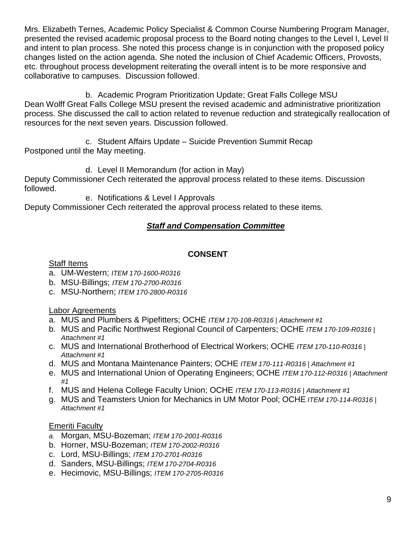Mrs. Elizabeth Ternes, Academic Policy Specialist & Common Course Numbering Program Manager, presented the revised academic proposal process to the Board noting changes to the Level I, Level II and intent to plan process. She noted this process change is in conjunction with the proposed policy changes listed on the action agenda. She noted the inclusion of Chief Academic Officers, Provosts, etc. throughout process development reiterating the overall intent is to be more responsive and collaborative to campuses. Discussion followed.

b. Academic Program Prioritization Update; Great Falls College MSU Dean Wolff Great Falls College MSU present the revised academic and administrative prioritization process. She discussed the call to action related to revenue reduction and strategically reallocation of resources for the next seven years. Discussion followed.

c. Student Affairs Update – Suicide Prevention Summit Recap Postponed until the May meeting.

d. Level II Memorandum (for action in May)

Deputy Commissioner Cech reiterated the approval process related to these items. Discussion followed.

e. Notifications & Level I Approvals

Deputy Commissioner Cech reiterated the approval process related to these items.

# *Staff and Compensation Committee*

## **CONSENT**

#### Staff Items

- a. UM-Western; *ITEM 170-1600-R0316*
- b. MSU-Billings; *ITEM 170-2700-R0316*
- c. MSU-Northern; *ITEM 170-2800-R0316*

## Labor Agreements

- a. MUS and Plumbers & Pipefitters; OCHE *ITEM 170-108-R0316 | Attachment #1*
- b. MUS and Pacific Northwest Regional Council of Carpenters; OCHE *ITEM 170-109-R0316 | Attachment #1*
- c. MUS and International Brotherhood of Electrical Workers; OCHE *ITEM 170-110-R0316 | Attachment #1*
- d. MUS and Montana Maintenance Painters; OCHE *ITEM 170-111-R0316 | Attachment #1*
- e. MUS and International Union of Operating Engineers; OCHE *ITEM 170-112-R0316 | Attachment #1*
- f. MUS and Helena College Faculty Union; OCHE *ITEM 170-113-R0316 | Attachment #1*
- g. MUS and Teamsters Union for Mechanics in UM Motor Pool; OCHE *ITEM 170-114-R0316 | Attachment #1*

## Emeriti Faculty

- *a.* Morgan, MSU-Bozeman; *ITEM 170-2001-R0316*
- b. Horner, MSU-Bozeman; *ITEM 170-2002-R0316*
- c. Lord, MSU-Billings; *ITEM 170-2701-R0316*
- d. Sanders, MSU-Billings; *ITEM 170-2704-R0316*
- e. Hecimovic, MSU-Billings; *ITEM 170-2705-R0316*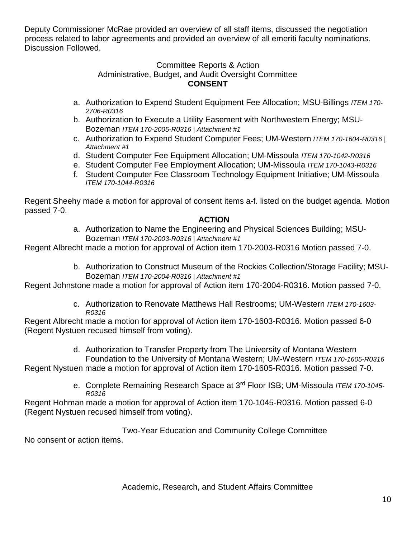Deputy Commissioner McRae provided an overview of all staff items, discussed the negotiation process related to labor agreements and provided an overview of all emeriti faculty nominations. Discussion Followed.

#### Committee Reports & Action Administrative, Budget, and Audit Oversight Committee **CONSENT**

- a. Authorization to Expend Student Equipment Fee Allocation; MSU-Billings *ITEM 170- 2706-R0316*
- b. Authorization to Execute a Utility Easement with Northwestern Energy; MSU-Bozeman *ITEM 170-2005-R0316 | Attachment #1*
- c. Authorization to Expend Student Computer Fees; UM-Western *ITEM 170-1604-R0316 | Attachment #1*
- d. Student Computer Fee Equipment Allocation; UM-Missoula *ITEM 170-1042-R0316*
- e. Student Computer Fee Employment Allocation; UM-Missoula *ITEM 170-1043-R0316*
- f. Student Computer Fee Classroom Technology Equipment Initiative; UM-Missoula *ITEM 170-1044-R0316*

Regent Sheehy made a motion for approval of consent items a-f. listed on the budget agenda. Motion passed 7-0.

## **ACTION**

a. Authorization to Name the Engineering and Physical Sciences Building; MSU-Bozeman *ITEM 170-2003-R0316 | Attachment #1*

Regent Albrecht made a motion for approval of Action item 170-2003-R0316 Motion passed 7-0.

b. Authorization to Construct Museum of the Rockies Collection/Storage Facility; MSU-Bozeman *ITEM 170-2004-R0316 | Attachment #1*

Regent Johnstone made a motion for approval of Action item 170-2004-R0316. Motion passed 7-0.

c. Authorization to Renovate Matthews Hall Restrooms; UM-Western *ITEM 170-1603- R0316*

Regent Albrecht made a motion for approval of Action item 170-1603-R0316. Motion passed 6-0 (Regent Nystuen recused himself from voting).

> d. Authorization to Transfer Property from The University of Montana Western Foundation to the University of Montana Western; UM-Western *ITEM 170-1605-R0316*

Regent Nystuen made a motion for approval of Action item 170-1605-R0316. Motion passed 7-0.

e. Complete Remaining Research Space at 3rd Floor ISB; UM-Missoula *ITEM 170-1045- R0316*

Regent Hohman made a motion for approval of Action item 170-1045-R0316. Motion passed 6-0 (Regent Nystuen recused himself from voting).

Two-Year Education and Community College Committee

No consent or action items.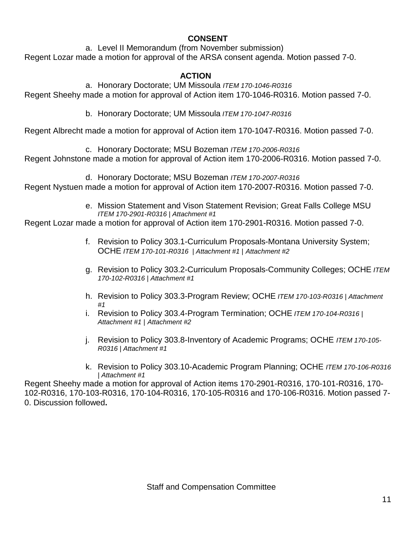## **CONSENT**

a. Level II Memorandum (from November submission) Regent Lozar made a motion for approval of the ARSA consent agenda. Motion passed 7-0.

# **ACTION**

a. Honorary Doctorate; UM Missoula *ITEM 170-1046-R0316* Regent Sheehy made a motion for approval of Action item 170-1046-R0316. Motion passed 7-0.

b. Honorary Doctorate; UM Missoula *ITEM 170-1047-R0316*

Regent Albrecht made a motion for approval of Action item 170-1047-R0316. Motion passed 7-0.

c. Honorary Doctorate; MSU Bozeman *ITEM 170-2006-R0316*

Regent Johnstone made a motion for approval of Action item 170-2006-R0316. Motion passed 7-0.

d. Honorary Doctorate; MSU Bozeman *ITEM 170-2007-R0316* Regent Nystuen made a motion for approval of Action item 170-2007-R0316. Motion passed 7-0.

> e. Mission Statement and Vison Statement Revision; Great Falls College MSU *ITEM 170-2901-R0316 | Attachment #1*

Regent Lozar made a motion for approval of Action item 170-2901-R0316. Motion passed 7-0.

- f. Revision to Policy 303.1-Curriculum Proposals-Montana University System; OCHE *ITEM 170-101-R0316 | Attachment #1 | Attachment #2*
- g. Revision to Policy 303.2-Curriculum Proposals-Community Colleges; OCHE *ITEM 170-102-R0316 | Attachment #1*
- h. Revision to Policy 303.3-Program Review; OCHE *ITEM 170-103-R0316 | Attachment #1*
- i. Revision to Policy 303.4-Program Termination; OCHE *ITEM 170-104-R0316 | Attachment #1 | Attachment #2*
- j. Revision to Policy 303.8-Inventory of Academic Programs; OCHE *ITEM 170-105- R0316 | Attachment #1*
- k. Revision to Policy 303.10-Academic Program Planning; OCHE *ITEM 170-106-R0316 | Attachment #1*

Regent Sheehy made a motion for approval of Action items 170-2901-R0316, 170-101-R0316, 170- 102-R0316, 170-103-R0316, 170-104-R0316, 170-105-R0316 and 170-106-R0316. Motion passed 7- 0. Discussion followed**.**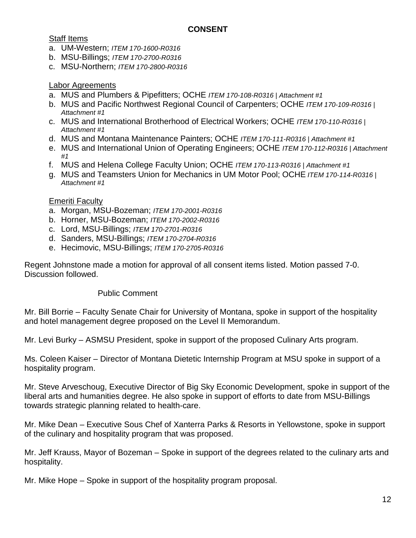## **CONSENT**

#### Staff Items

- a. UM-Western; *ITEM 170-1600-R0316*
- b. MSU-Billings; *ITEM 170-2700-R0316*
- c. MSU-Northern; *ITEM 170-2800-R0316*

#### Labor Agreements

- a. MUS and Plumbers & Pipefitters; OCHE *ITEM 170-108-R0316 | Attachment #1*
- b. MUS and Pacific Northwest Regional Council of Carpenters; OCHE *ITEM 170-109-R0316 | Attachment #1*
- c. MUS and International Brotherhood of Electrical Workers; OCHE *ITEM 170-110-R0316 | Attachment #1*
- d. MUS and Montana Maintenance Painters; OCHE *ITEM 170-111-R0316 | Attachment #1*
- e. MUS and International Union of Operating Engineers; OCHE *ITEM 170-112-R0316 | Attachment*
- *#1* f. MUS and Helena College Faculty Union; OCHE *ITEM 170-113-R0316 | Attachment #1*
- g. MUS and Teamsters Union for Mechanics in UM Motor Pool; OCHE *ITEM 170-114-R0316 | Attachment #1*

#### Emeriti Faculty

- a. Morgan, MSU-Bozeman; *ITEM 170-2001-R0316*
- b. Horner, MSU-Bozeman; *ITEM 170-2002-R0316*
- c. Lord, MSU-Billings; *ITEM 170-2701-R0316*
- d. Sanders, MSU-Billings; *ITEM 170-2704-R0316*
- e. Hecimovic, MSU-Billings; *ITEM 170-2705-R0316*

Regent Johnstone made a motion for approval of all consent items listed. Motion passed 7-0. Discussion followed.

#### Public Comment

Mr. Bill Borrie – Faculty Senate Chair for University of Montana, spoke in support of the hospitality and hotel management degree proposed on the Level II Memorandum.

Mr. Levi Burky – ASMSU President, spoke in support of the proposed Culinary Arts program.

Ms. Coleen Kaiser – Director of Montana Dietetic Internship Program at MSU spoke in support of a hospitality program.

Mr. Steve Arveschoug, Executive Director of Big Sky Economic Development, spoke in support of the liberal arts and humanities degree. He also spoke in support of efforts to date from MSU-Billings towards strategic planning related to health-care.

Mr. Mike Dean – Executive Sous Chef of Xanterra Parks & Resorts in Yellowstone, spoke in support of the culinary and hospitality program that was proposed.

Mr. Jeff Krauss, Mayor of Bozeman – Spoke in support of the degrees related to the culinary arts and hospitality.

Mr. Mike Hope – Spoke in support of the hospitality program proposal.